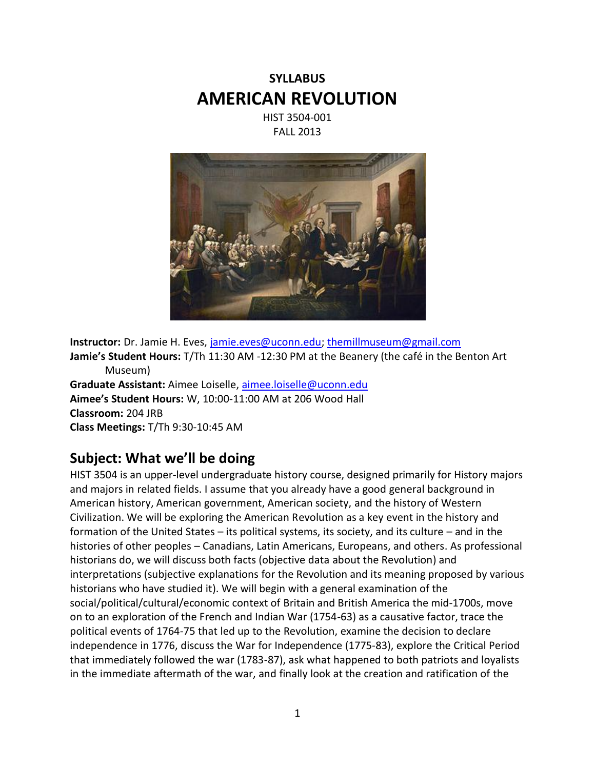# **SYLLABUS AMERICAN REVOLUTION**

HIST 3504-001 FALL 2013



**Instructor:** Dr. Jamie H. Eves, [jamie.eves@uconn.edu;](mailto:jamie.eves@uconn.edu) [themillmuseum@gmail.com](mailto:themillmuseum@gmail.com) **Jamie's Student Hours:** T/Th 11:30 AM -12:30 PM at the Beanery (the café in the Benton Art Museum) **Graduate Assistant:** Aimee Loiselle[, aimee.loiselle@uconn.edu](mailto:aimee.loiselle@uconn.edu) **Aimee's Student Hours:** W, 10:00-11:00 AM at 206 Wood Hall **Classroom:** 204 JRB **Class Meetings:** T/Th 9:30-10:45 AM

### **Subject: What we'll be doing**

HIST 3504 is an upper-level undergraduate history course, designed primarily for History majors and majors in related fields. I assume that you already have a good general background in American history, American government, American society, and the history of Western Civilization. We will be exploring the American Revolution as a key event in the history and formation of the United States – its political systems, its society, and its culture – and in the histories of other peoples – Canadians, Latin Americans, Europeans, and others. As professional historians do, we will discuss both facts (objective data about the Revolution) and interpretations (subjective explanations for the Revolution and its meaning proposed by various historians who have studied it). We will begin with a general examination of the social/political/cultural/economic context of Britain and British America the mid-1700s, move on to an exploration of the French and Indian War (1754-63) as a causative factor, trace the political events of 1764-75 that led up to the Revolution, examine the decision to declare independence in 1776, discuss the War for Independence (1775-83), explore the Critical Period that immediately followed the war (1783-87), ask what happened to both patriots and loyalists in the immediate aftermath of the war, and finally look at the creation and ratification of the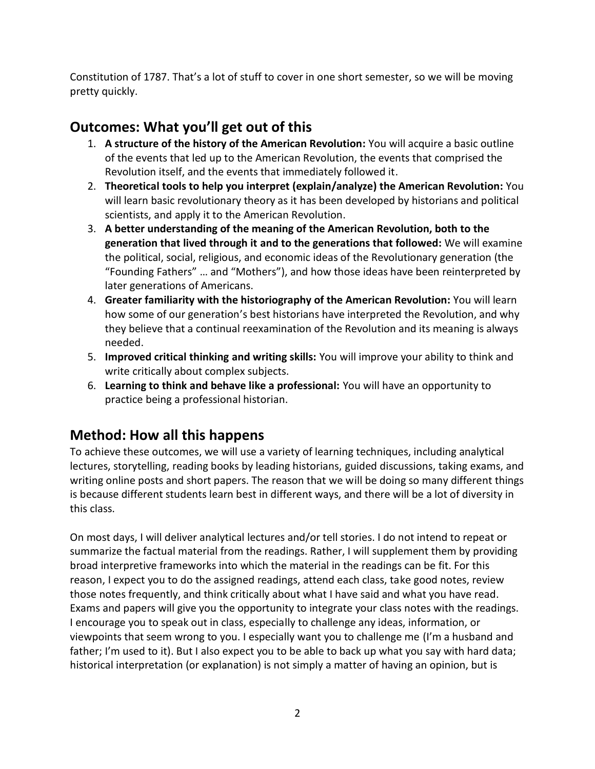Constitution of 1787. That's a lot of stuff to cover in one short semester, so we will be moving pretty quickly.

# **Outcomes: What you'll get out of this**

- 1. **A structure of the history of the American Revolution:** You will acquire a basic outline of the events that led up to the American Revolution, the events that comprised the Revolution itself, and the events that immediately followed it.
- 2. **Theoretical tools to help you interpret (explain/analyze) the American Revolution:** You will learn basic revolutionary theory as it has been developed by historians and political scientists, and apply it to the American Revolution.
- 3. **A better understanding of the meaning of the American Revolution, both to the generation that lived through it and to the generations that followed:** We will examine the political, social, religious, and economic ideas of the Revolutionary generation (the "Founding Fathers" … and "Mothers"), and how those ideas have been reinterpreted by later generations of Americans.
- 4. **Greater familiarity with the historiography of the American Revolution:** You will learn how some of our generation's best historians have interpreted the Revolution, and why they believe that a continual reexamination of the Revolution and its meaning is always needed.
- 5. **Improved critical thinking and writing skills:** You will improve your ability to think and write critically about complex subjects.
- 6. **Learning to think and behave like a professional:** You will have an opportunity to practice being a professional historian.

# **Method: How all this happens**

To achieve these outcomes, we will use a variety of learning techniques, including analytical lectures, storytelling, reading books by leading historians, guided discussions, taking exams, and writing online posts and short papers. The reason that we will be doing so many different things is because different students learn best in different ways, and there will be a lot of diversity in this class.

On most days, I will deliver analytical lectures and/or tell stories. I do not intend to repeat or summarize the factual material from the readings. Rather, I will supplement them by providing broad interpretive frameworks into which the material in the readings can be fit. For this reason, I expect you to do the assigned readings, attend each class, take good notes, review those notes frequently, and think critically about what I have said and what you have read. Exams and papers will give you the opportunity to integrate your class notes with the readings. I encourage you to speak out in class, especially to challenge any ideas, information, or viewpoints that seem wrong to you. I especially want you to challenge me (I'm a husband and father; I'm used to it). But I also expect you to be able to back up what you say with hard data; historical interpretation (or explanation) is not simply a matter of having an opinion, but is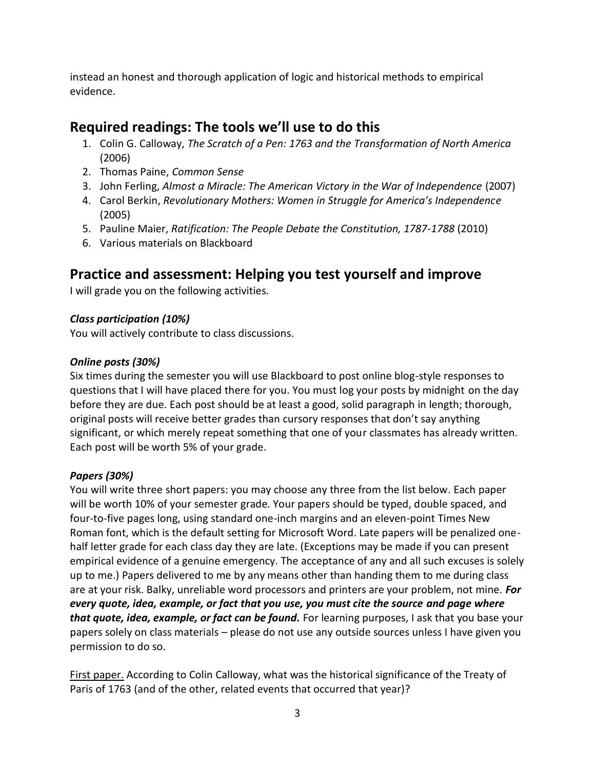instead an honest and thorough application of logic and historical methods to empirical evidence.

## **Required readings: The tools we'll use to do this**

- 1. Colin G. Calloway, *The Scratch of a Pen: 1763 and the Transformation of North America* (2006)
- 2. Thomas Paine, *Common Sense*
- 3. John Ferling, *Almost a Miracle: The American Victory in the War of Independence* (2007)
- 4. Carol Berkin, *Revolutionary Mothers: Women in Struggle for America's Independence*  (2005)
- 5. Pauline Maier, *Ratification: The People Debate the Constitution, 1787-1788* (2010)
- 6. Various materials on Blackboard

### **Practice and assessment: Helping you test yourself and improve**

I will grade you on the following activities.

### *Class participation (10%)*

You will actively contribute to class discussions.

#### *Online posts (30%)*

Six times during the semester you will use Blackboard to post online blog-style responses to questions that I will have placed there for you. You must log your posts by midnight on the day before they are due. Each post should be at least a good, solid paragraph in length; thorough, original posts will receive better grades than cursory responses that don't say anything significant, or which merely repeat something that one of your classmates has already written. Each post will be worth 5% of your grade.

#### *Papers (30%)*

You will write three short papers: you may choose any three from the list below. Each paper will be worth 10% of your semester grade. Your papers should be typed, double spaced, and four-to-five pages long, using standard one-inch margins and an eleven-point Times New Roman font, which is the default setting for Microsoft Word. Late papers will be penalized onehalf letter grade for each class day they are late. (Exceptions may be made if you can present empirical evidence of a genuine emergency. The acceptance of any and all such excuses is solely up to me.) Papers delivered to me by any means other than handing them to me during class are at your risk. Balky, unreliable word processors and printers are your problem, not mine. *For every quote, idea, example, or fact that you use, you must cite the source and page where that quote, idea, example, or fact can be found.* For learning purposes, I ask that you base your papers solely on class materials – please do not use any outside sources unless I have given you permission to do so.

First paper. According to Colin Calloway, what was the historical significance of the Treaty of Paris of 1763 (and of the other, related events that occurred that year)?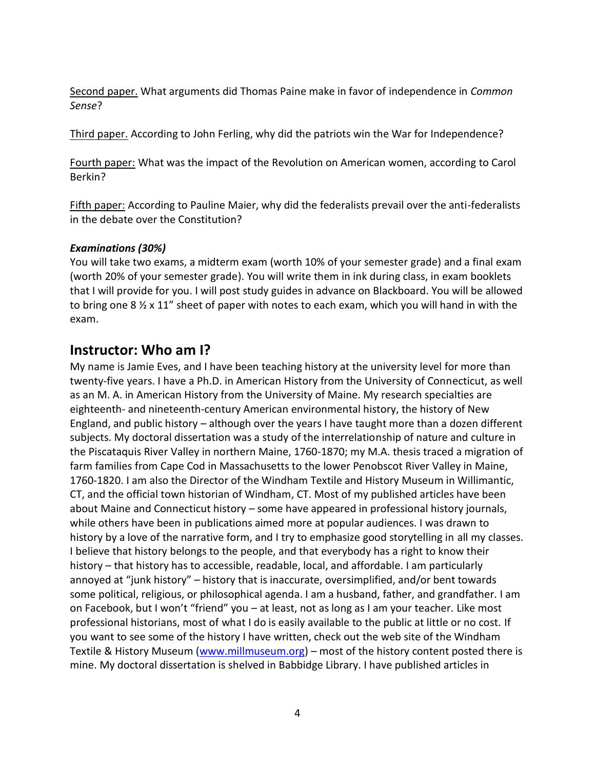Second paper. What arguments did Thomas Paine make in favor of independence in *Common Sense*?

Third paper. According to John Ferling, why did the patriots win the War for Independence?

Fourth paper: What was the impact of the Revolution on American women, according to Carol Berkin?

Fifth paper: According to Pauline Maier, why did the federalists prevail over the anti-federalists in the debate over the Constitution?

#### *Examinations (30%)*

You will take two exams, a midterm exam (worth 10% of your semester grade) and a final exam (worth 20% of your semester grade). You will write them in ink during class, in exam booklets that I will provide for you. I will post study guides in advance on Blackboard. You will be allowed to bring one  $8 \frac{1}{2} \times 11$ " sheet of paper with notes to each exam, which you will hand in with the exam.

### **Instructor: Who am I?**

My name is Jamie Eves, and I have been teaching history at the university level for more than twenty-five years. I have a Ph.D. in American History from the University of Connecticut, as well as an M. A. in American History from the University of Maine. My research specialties are eighteenth- and nineteenth-century American environmental history, the history of New England, and public history – although over the years I have taught more than a dozen different subjects. My doctoral dissertation was a study of the interrelationship of nature and culture in the Piscataquis River Valley in northern Maine, 1760-1870; my M.A. thesis traced a migration of farm families from Cape Cod in Massachusetts to the lower Penobscot River Valley in Maine, 1760-1820. I am also the Director of the Windham Textile and History Museum in Willimantic, CT, and the official town historian of Windham, CT. Most of my published articles have been about Maine and Connecticut history – some have appeared in professional history journals, while others have been in publications aimed more at popular audiences. I was drawn to history by a love of the narrative form, and I try to emphasize good storytelling in all my classes. I believe that history belongs to the people, and that everybody has a right to know their history – that history has to accessible, readable, local, and affordable. I am particularly annoyed at "junk history" – history that is inaccurate, oversimplified, and/or bent towards some political, religious, or philosophical agenda. I am a husband, father, and grandfather. I am on Facebook, but I won't "friend" you – at least, not as long as I am your teacher. Like most professional historians, most of what I do is easily available to the public at little or no cost. If you want to see some of the history I have written, check out the web site of the Windham Textile & History Museum [\(www.millmuseum.org\)](http://www.millmuseum.org/) – most of the history content posted there is mine. My doctoral dissertation is shelved in Babbidge Library. I have published articles in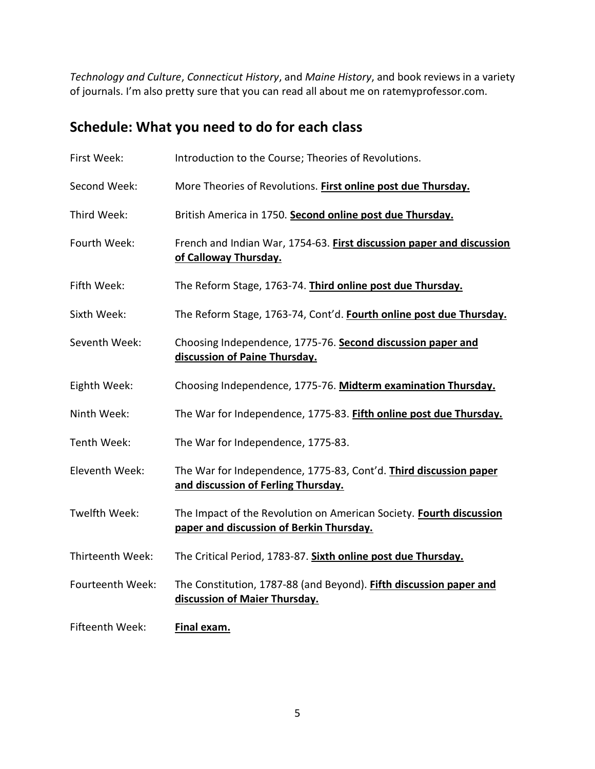*Technology and Culture*, *Connecticut History*, and *Maine History*, and book reviews in a variety of journals. I'm also pretty sure that you can read all about me on ratemyprofessor.com.

# **Schedule: What you need to do for each class**

| First Week:      | Introduction to the Course; Theories of Revolutions.                                                            |
|------------------|-----------------------------------------------------------------------------------------------------------------|
| Second Week:     | More Theories of Revolutions. First online post due Thursday.                                                   |
| Third Week:      | British America in 1750. Second online post due Thursday.                                                       |
| Fourth Week:     | French and Indian War, 1754-63. First discussion paper and discussion<br>of Calloway Thursday.                  |
| Fifth Week:      | The Reform Stage, 1763-74. Third online post due Thursday.                                                      |
| Sixth Week:      | The Reform Stage, 1763-74, Cont'd. Fourth online post due Thursday.                                             |
| Seventh Week:    | Choosing Independence, 1775-76. Second discussion paper and<br>discussion of Paine Thursday.                    |
| Eighth Week:     | Choosing Independence, 1775-76. Midterm examination Thursday.                                                   |
| Ninth Week:      | The War for Independence, 1775-83. Fifth online post due Thursday.                                              |
| Tenth Week:      | The War for Independence, 1775-83.                                                                              |
| Eleventh Week:   | The War for Independence, 1775-83, Cont'd. Third discussion paper<br>and discussion of Ferling Thursday.        |
| Twelfth Week:    | The Impact of the Revolution on American Society. Fourth discussion<br>paper and discussion of Berkin Thursday. |
| Thirteenth Week: | The Critical Period, 1783-87. Sixth online post due Thursday.                                                   |
| Fourteenth Week: | The Constitution, 1787-88 (and Beyond). Fifth discussion paper and<br>discussion of Maier Thursday.             |
| Fifteenth Week:  | Final exam.                                                                                                     |